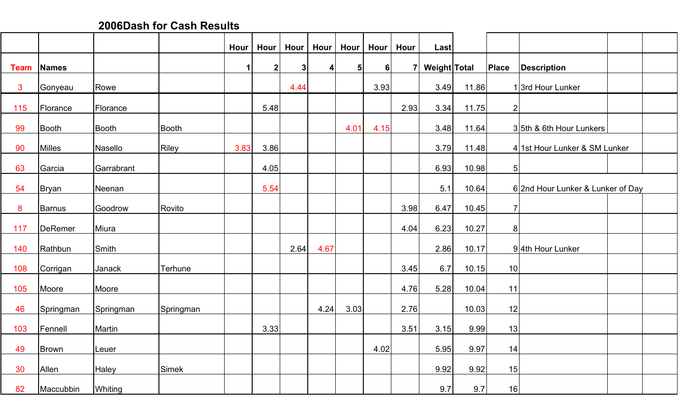**2006Dash for Cash Results**

|             |              |            |              | Hour | Hour        | Hour | Hour | <b>Hour</b>    | Hour | Hour           | <b>Last</b>  |       |                |                                  |  |
|-------------|--------------|------------|--------------|------|-------------|------|------|----------------|------|----------------|--------------|-------|----------------|----------------------------------|--|
| <b>Team</b> | Names        |            |              | 1    | $\mathbf 2$ | 3    | 4    | 5 <sup>1</sup> | 6    | $\overline{7}$ | Weight Total |       | Place          | <b>Description</b>               |  |
| 3           | Gonyeau      | Rowe       |              |      |             | 4.44 |      |                | 3.93 |                | 3.49         | 11.86 |                | 13rd Hour Lunker                 |  |
| 115         | Florance     | Florance   |              |      | 5.48        |      |      |                |      | 2.93           | 3.34         | 11.75 | $\overline{2}$ |                                  |  |
| 99          | Booth        | Booth      | Booth        |      |             |      |      | 4.01           | 4.15 |                | 3.48         | 11.64 |                | 35th & 6th Hour Lunkers          |  |
| 90          | Milles       | Nasello    | <b>Riley</b> | 3.83 | 3.86        |      |      |                |      |                | 3.79         | 11.48 |                | 4 1st Hour Lunker & SM Lunker    |  |
| 63          | Garcia       | Garrabrant |              |      | 4.05        |      |      |                |      |                | 6.93         | 10.98 | 5 <sup>1</sup> |                                  |  |
| 54          | Bryan        | Neenan     |              |      | 5.54        |      |      |                |      |                | 5.1          | 10.64 |                | 62nd Hour Lunker & Lunker of Day |  |
| 8           | Barnus       | Goodrow    | Rovito       |      |             |      |      |                |      | 3.98           | 6.47         | 10.45 | $\overline{7}$ |                                  |  |
| 117         | DeRemer      | Miura      |              |      |             |      |      |                |      | 4.04           | 6.23         | 10.27 | 8 <sup>1</sup> |                                  |  |
| 140         | Rathbun      | Smith      |              |      |             | 2.64 | 4.67 |                |      |                | 2.86         | 10.17 |                | 94th Hour Lunker                 |  |
| 108         | Corrigan     | Janack     | Terhune      |      |             |      |      |                |      | 3.45           | 6.7          | 10.15 | 10             |                                  |  |
| 105         | Moore        | Moore      |              |      |             |      |      |                |      | 4.76           | 5.28         | 10.04 | 11             |                                  |  |
| 46          | Springman    | Springman  | Springman    |      |             |      | 4.24 | 3.03           |      | 2.76           |              | 10.03 | 12             |                                  |  |
| 103         | Fennell      | Martin     |              |      | 3.33        |      |      |                |      | 3.51           | 3.15         | 9.99  | 13             |                                  |  |
| 49          | <b>Brown</b> | Leuer      |              |      |             |      |      |                | 4.02 |                | 5.95         | 9.97  | 14             |                                  |  |
| 30          | Allen        | Haley      | Simek        |      |             |      |      |                |      |                | 9.92         | 9.92  | 15             |                                  |  |
| 82          | Maccubbin    | Whiting    |              |      |             |      |      |                |      |                | 9.7          | 9.7   | 16             |                                  |  |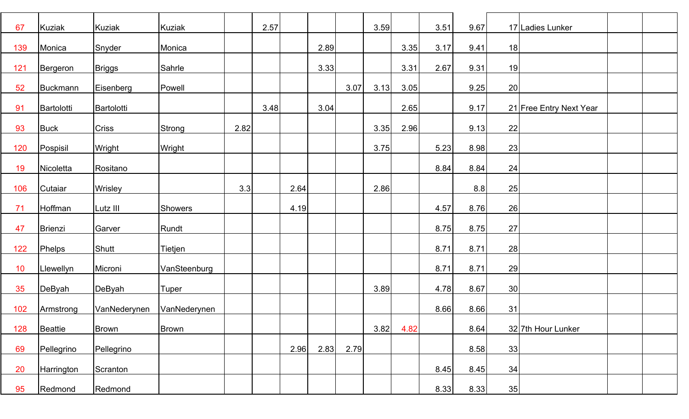| 67  | Kuziak      | <b>Kuziak</b> | <b>Kuziak</b> |      | 2.57 |      |      |      | 3.59 |      | 3.51 | 9.67 |    | 17 Ladies Lunker        |  |
|-----|-------------|---------------|---------------|------|------|------|------|------|------|------|------|------|----|-------------------------|--|
| 139 | Monica      | Snyder        | Monica        |      |      |      | 2.89 |      |      | 3.35 | 3.17 | 9.41 | 18 |                         |  |
| 121 | Bergeron    | <b>Briggs</b> | Sahrle        |      |      |      | 3.33 |      |      | 3.31 | 2.67 | 9.31 | 19 |                         |  |
| 52  | Buckmann    | Eisenberg     | Powell        |      |      |      |      | 3.07 | 3.13 | 3.05 |      | 9.25 | 20 |                         |  |
| 91  | Bartolotti  | Bartolotti    |               |      | 3.48 |      | 3.04 |      |      | 2.65 |      | 9.17 |    | 21 Free Entry Next Year |  |
| 93  | <b>Buck</b> | <b>Criss</b>  | Strong        | 2.82 |      |      |      |      | 3.35 | 2.96 |      | 9.13 | 22 |                         |  |
| 120 | Pospisil    | Wright        | Wright        |      |      |      |      |      | 3.75 |      | 5.23 | 8.98 | 23 |                         |  |
| 19  | Nicoletta   | Rositano      |               |      |      |      |      |      |      |      | 8.84 | 8.84 | 24 |                         |  |
| 106 | Cutaiar     | Wrisley       |               | 3.3  |      | 2.64 |      |      | 2.86 |      |      | 8.8  | 25 |                         |  |
| 71  | Hoffman     | Lutz III      | Showers       |      |      | 4.19 |      |      |      |      | 4.57 | 8.76 | 26 |                         |  |
| 47  | Brienzi     | Garver        | Rundt         |      |      |      |      |      |      |      | 8.75 | 8.75 | 27 |                         |  |
| 122 | Phelps      | Shutt         | Tietjen       |      |      |      |      |      |      |      | 8.71 | 8.71 | 28 |                         |  |
| 10  | Llewellyn   | Microni       | VanSteenburg  |      |      |      |      |      |      |      | 8.71 | 8.71 | 29 |                         |  |
| 35  | DeByah      | DeByah        | Tuper         |      |      |      |      |      | 3.89 |      | 4.78 | 8.67 | 30 |                         |  |
| 102 | Armstrong   | VanNederynen  | VanNederynen  |      |      |      |      |      |      |      | 8.66 | 8.66 | 31 |                         |  |
| 128 | Beattie     | <b>Brown</b>  | <b>Brown</b>  |      |      |      |      |      | 3.82 | 4.82 |      | 8.64 |    | 32 7th Hour Lunker      |  |
| 69  | Pellegrino  | Pellegrino    |               |      |      | 2.96 | 2.83 | 2.79 |      |      |      | 8.58 | 33 |                         |  |
| 20  | Harrington  | Scranton      |               |      |      |      |      |      |      |      | 8.45 | 8.45 | 34 |                         |  |
| 95  | Redmond     | Redmond       |               |      |      |      |      |      |      |      | 8.33 | 8.33 | 35 |                         |  |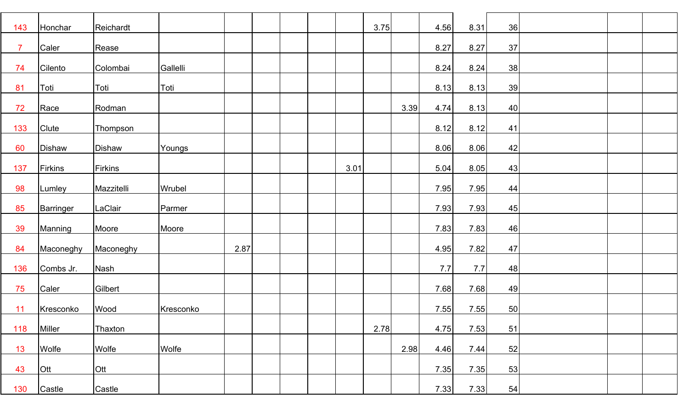| 143            | Honchar       | Reichardt  |           |      |      | 3.75 |      | 4.56 | 8.31 | 36 |  |  |
|----------------|---------------|------------|-----------|------|------|------|------|------|------|----|--|--|
| $\overline{7}$ | Caler         |            |           |      |      |      |      | 8.27 | 8.27 | 37 |  |  |
|                |               | Rease      |           |      |      |      |      |      |      |    |  |  |
| 74             | Cilento       | Colombai   | Gallelli  |      |      |      |      | 8.24 | 8.24 | 38 |  |  |
| 81             | Toti          | Toti       | Toti      |      |      |      |      | 8.13 | 8.13 | 39 |  |  |
| 72             | Race          | Rodman     |           |      |      |      | 3.39 | 4.74 | 8.13 | 40 |  |  |
| 133            | Clute         | Thompson   |           |      |      |      |      | 8.12 | 8.12 | 41 |  |  |
| 60             | Dishaw        | Dishaw     | Youngs    |      |      |      |      | 8.06 | 8.06 | 42 |  |  |
| 137            | Firkins       | Firkins    |           |      | 3.01 |      |      | 5.04 | 8.05 | 43 |  |  |
| 98             | Lumley        | Mazzitelli | Wrubel    |      |      |      |      | 7.95 | 7.95 | 44 |  |  |
|                |               |            |           |      |      |      |      |      |      |    |  |  |
| 85             | Barringer     | LaClair    | Parmer    |      |      |      |      | 7.93 | 7.93 | 45 |  |  |
| 39             | Manning       | Moore      | Moore     |      |      |      |      | 7.83 | 7.83 | 46 |  |  |
| 84             | Maconeghy     | Maconeghy  |           | 2.87 |      |      |      | 4.95 | 7.82 | 47 |  |  |
| 136            | Combs Jr.     | Nash       |           |      |      |      |      | 7.7  | 7.7  | 48 |  |  |
| 75             | Caler         | Gilbert    |           |      |      |      |      | 7.68 | 7.68 | 49 |  |  |
| 11             | Kresconko     | Wood       | Kresconko |      |      |      |      | 7.55 | 7.55 | 50 |  |  |
| 118            | <b>Miller</b> | Thaxton    |           |      |      | 2.78 |      | 4.75 | 7.53 | 51 |  |  |
| 13             | Wolfe         | Wolfe      | Wolfe     |      |      |      | 2.98 | 4.46 | 7.44 | 52 |  |  |
|                |               |            |           |      |      |      |      |      |      |    |  |  |
| 43             | Ott           | Ott        |           |      |      |      |      | 7.35 | 7.35 | 53 |  |  |
| 130            | Castle        | Castle     |           |      |      |      |      | 7.33 | 7.33 | 54 |  |  |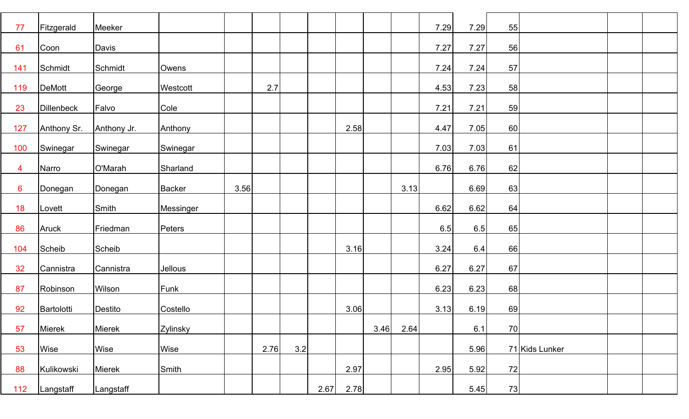| 77              | Fitzgerald    | Meeker      |               |      |      |     |      |      |      |      | 7.29 | 7.29 | 55 |                |  |
|-----------------|---------------|-------------|---------------|------|------|-----|------|------|------|------|------|------|----|----------------|--|
|                 |               |             |               |      |      |     |      |      |      |      |      |      |    |                |  |
| 61              | Coon          | Davis       |               |      |      |     |      |      |      |      | 7.27 | 7.27 | 56 |                |  |
| 141             | Schmidt       | Schmidt     | Owens         |      |      |     |      |      |      |      | 7.24 | 7.24 | 57 |                |  |
| 119             | <b>DeMott</b> | George      | Westcott      |      | 2.7  |     |      |      |      |      | 4.53 | 7.23 | 58 |                |  |
| 23              | Dillenbeck    | Falvo       | Cole          |      |      |     |      |      |      |      | 7.21 | 7.21 | 59 |                |  |
| 127             | Anthony Sr.   | Anthony Jr. | Anthony       |      |      |     |      | 2.58 |      |      | 4.47 | 7.05 | 60 |                |  |
| 100             | Swinegar      | Swinegar    | Swinegar      |      |      |     |      |      |      |      | 7.03 | 7.03 | 61 |                |  |
| 4               | Narro         | O'Marah     | Sharland      |      |      |     |      |      |      |      | 6.76 | 6.76 | 62 |                |  |
| $6\overline{6}$ | Donegan       | Donegan     | <b>Backer</b> | 3.56 |      |     |      |      |      | 3.13 |      | 6.69 | 63 |                |  |
| 18              | Lovett        | Smith       | Messinger     |      |      |     |      |      |      |      | 6.62 | 6.62 | 64 |                |  |
|                 |               |             |               |      |      |     |      |      |      |      |      |      |    |                |  |
| 86              | Aruck         | Friedman    | Peters        |      |      |     |      |      |      |      | 6.5  | 6.5  | 65 |                |  |
| 104             | Scheib        | Scheib      |               |      |      |     |      | 3.16 |      |      | 3.24 | 6.4  | 66 |                |  |
| 32              | Cannistra     | Cannistra   | Jellous       |      |      |     |      |      |      |      | 6.27 | 6.27 | 67 |                |  |
| 87              | Robinson      | Wilson      | Funk          |      |      |     |      |      |      |      | 6.23 | 6.23 | 68 |                |  |
| 92              | Bartolotti    | Destito     | Costello      |      |      |     |      | 3.06 |      |      | 3.13 | 6.19 | 69 |                |  |
| 57              | Mierek        | Mierek      | Zylinsky      |      |      |     |      |      | 3.46 | 2.64 |      | 6.1  | 70 |                |  |
| 53              | Wise          | Wise        | Wise          |      | 2.76 | 3.2 |      |      |      |      |      | 5.96 |    | 71 Kids Lunker |  |
| 88              | Kulikowski    | Mierek      | Smith         |      |      |     |      | 2.97 |      |      | 2.95 | 5.92 | 72 |                |  |
| 112             | Langstaff     | Langstaff   |               |      |      |     | 2.67 | 2.78 |      |      |      | 5.45 | 73 |                |  |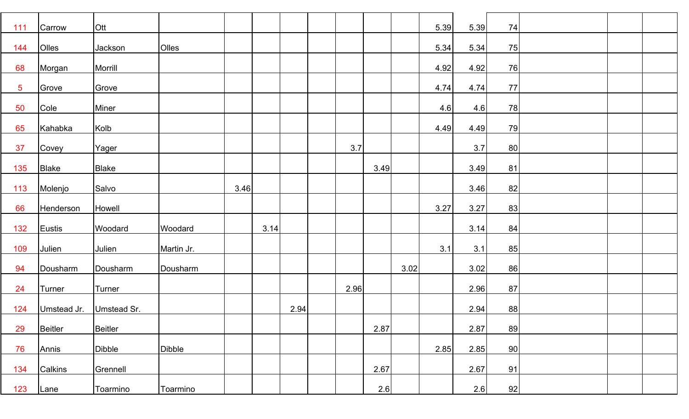| 111            | Carrow         | Ott            |               |      |      |      |      |      |      | 5.39 | 5.39   | 74 |  |  |
|----------------|----------------|----------------|---------------|------|------|------|------|------|------|------|--------|----|--|--|
| 144            | Olles          | Jackson        | Olles         |      |      |      |      |      |      | 5.34 | $5.34$ | 75 |  |  |
| 68             | Morgan         | Morrill        |               |      |      |      |      |      |      | 4.92 | 4.92   | 76 |  |  |
| $\overline{5}$ | Grove          | Grove          |               |      |      |      |      |      |      | 4.74 | 4.74   | 77 |  |  |
| 50             | Cole           | Miner          |               |      |      |      |      |      |      | 4.6  | 4.6    | 78 |  |  |
| 65             | Kahabka        | Kolb           |               |      |      |      |      |      |      | 4.49 | 4.49   | 79 |  |  |
| 37             | Covey          | Yager          |               |      |      |      | 3.7  |      |      |      | 3.7    | 80 |  |  |
| 135            | <b>Blake</b>   | <b>Blake</b>   |               |      |      |      |      | 3.49 |      |      | 3.49   | 81 |  |  |
| 113            | Molenjo        | Salvo          |               | 3.46 |      |      |      |      |      |      | 3.46   | 82 |  |  |
| 66             | Henderson      | Howell         |               |      |      |      |      |      |      | 3.27 | 3.27   | 83 |  |  |
| 132            | Eustis         | Woodard        | Woodard       |      | 3.14 |      |      |      |      |      | 3.14   | 84 |  |  |
| 109            | Julien         | Julien         | Martin Jr.    |      |      |      |      |      |      | 3.1  | 3.1    | 85 |  |  |
| 94             | Dousharm       | Dousharm       | Dousharm      |      |      |      |      |      | 3.02 |      | 3.02   | 86 |  |  |
| 24             | Turner         | Turner         |               |      |      |      | 2.96 |      |      |      | 2.96   | 87 |  |  |
| 124            | Umstead Jr.    | Umstead Sr.    |               |      |      | 2.94 |      |      |      |      | 2.94   | 88 |  |  |
| 29             | <b>Beitler</b> | <b>Beitler</b> |               |      |      |      |      | 2.87 |      |      | 2.87   | 89 |  |  |
| 76             | Annis          | Dibble         | <b>Dibble</b> |      |      |      |      |      |      | 2.85 | 2.85   | 90 |  |  |
| 134            | Calkins        | Grennell       |               |      |      |      |      | 2.67 |      |      | 2.67   | 91 |  |  |
| 123            | Lane           | Toarmino       | Toarmino      |      |      |      |      | 2.6  |      |      | 2.6    | 92 |  |  |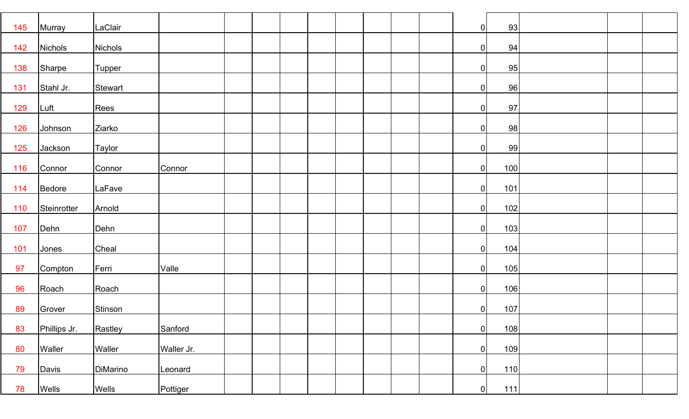| 145 | Murray       | LaClair         |            |  |  |  |  | $\overline{0}$ | 93    |  |  |
|-----|--------------|-----------------|------------|--|--|--|--|----------------|-------|--|--|
| 142 | Nichols      | <b>Nichols</b>  |            |  |  |  |  | 0              | 94    |  |  |
| 138 | Sharpe       | <b>Tupper</b>   |            |  |  |  |  | 0              | 95    |  |  |
|     |              |                 |            |  |  |  |  |                |       |  |  |
| 131 | Stahl Jr.    | Stewart         |            |  |  |  |  | $\overline{0}$ | 96    |  |  |
| 129 | Luft         | Rees            |            |  |  |  |  | $\overline{0}$ | 97    |  |  |
| 126 | Johnson      | Ziarko          |            |  |  |  |  | 0              | 98    |  |  |
| 125 | Jackson      | Taylor          |            |  |  |  |  | $\overline{0}$ | 99    |  |  |
|     |              |                 |            |  |  |  |  |                |       |  |  |
| 116 | Connor       | Connor          | Connor     |  |  |  |  | $\overline{0}$ | 100   |  |  |
| 114 | Bedore       | LaFave          |            |  |  |  |  | $\overline{0}$ | 101   |  |  |
|     |              |                 |            |  |  |  |  |                |       |  |  |
| 110 | Steinrotter  | Arnold          |            |  |  |  |  | 0              | 102   |  |  |
| 107 | Dehn         | Dehn            |            |  |  |  |  | 0              | 103   |  |  |
| 101 | Jones        | Cheal           |            |  |  |  |  | 0              | 104   |  |  |
|     |              |                 |            |  |  |  |  |                |       |  |  |
| 97  | Compton      | Ferri           | Valle      |  |  |  |  | 0              | 105   |  |  |
| 96  | Roach        | Roach           |            |  |  |  |  | $\overline{0}$ | 106   |  |  |
| 89  | Grover       | Stinson         |            |  |  |  |  | 0              | 107   |  |  |
| 83  | Phillips Jr. | Rastley         | Sanford    |  |  |  |  | $\overline{0}$ | 108   |  |  |
|     |              |                 |            |  |  |  |  |                |       |  |  |
| 80  | Waller       | Waller          | Waller Jr. |  |  |  |  | $\overline{0}$ | 109   |  |  |
| 79  | Davis        | <b>DiMarino</b> | Leonard    |  |  |  |  | 0              | 110   |  |  |
| 78  | Wells        | <b>Wells</b>    | Pottiger   |  |  |  |  | 0              | $111$ |  |  |
|     |              |                 |            |  |  |  |  |                |       |  |  |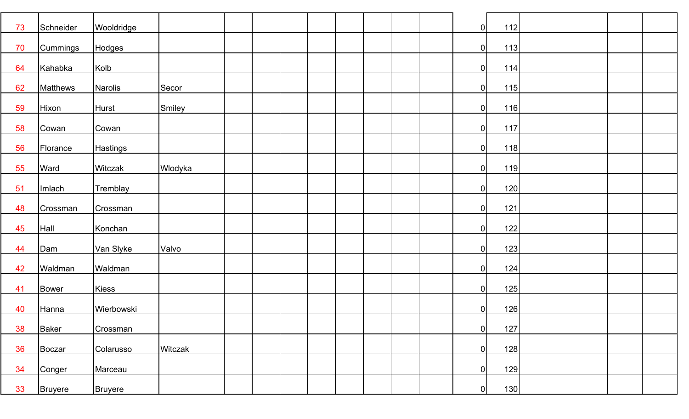| 73             | Schneider                   | Wooldridge                      |         |  |  |  |  | 0                           | 112               |  |  |
|----------------|-----------------------------|---------------------------------|---------|--|--|--|--|-----------------------------|-------------------|--|--|
| 70             | Cummings                    | Hodges                          |         |  |  |  |  | 0                           | 113               |  |  |
| 64             | Kahabka                     | Kolb                            |         |  |  |  |  | 0                           | 114               |  |  |
| 62             | Matthews                    | Narolis                         | Secor   |  |  |  |  | 0                           | 115               |  |  |
| 59             | Hixon                       | Hurst                           | Smiley  |  |  |  |  | 0                           | 116               |  |  |
| 58             | Cowan                       | Cowan                           |         |  |  |  |  | 0                           | 117               |  |  |
| 56             | Florance                    | <b>Hastings</b>                 |         |  |  |  |  | 0                           | 118               |  |  |
| 55             | Ward                        | Witczak                         | Wlodyka |  |  |  |  | 0                           | 119               |  |  |
| 51             | Imlach                      | Tremblay                        |         |  |  |  |  | 0                           | 120               |  |  |
| 48             | Crossman                    | Crossman                        |         |  |  |  |  | 0                           | 121               |  |  |
| 45             | Hall                        | Konchan                         |         |  |  |  |  | 0                           | 122               |  |  |
| 44             | Dam                         | Van Slyke                       | Valvo   |  |  |  |  | 0                           | 123               |  |  |
| 42             | Waldman                     | Waldman                         |         |  |  |  |  | 0                           | 124               |  |  |
| 41             | Bower                       | Kiess                           |         |  |  |  |  | $\overline{0}$              | 125               |  |  |
| 40             | Hanna                       | Wierbowski                      |         |  |  |  |  | 0                           | 126               |  |  |
|                |                             |                                 |         |  |  |  |  | $\overline{0}$              |                   |  |  |
| 38             | Baker                       | Crossman                        |         |  |  |  |  |                             | 127               |  |  |
|                |                             |                                 |         |  |  |  |  |                             |                   |  |  |
|                |                             |                                 |         |  |  |  |  |                             |                   |  |  |
| 36<br>34<br>33 | Boczar<br>Conger<br>Bruyere | Colarusso<br>Marceau<br>Bruyere | Witczak |  |  |  |  | $\overline{0}$<br> 0 <br> 0 | 128<br>129<br>130 |  |  |